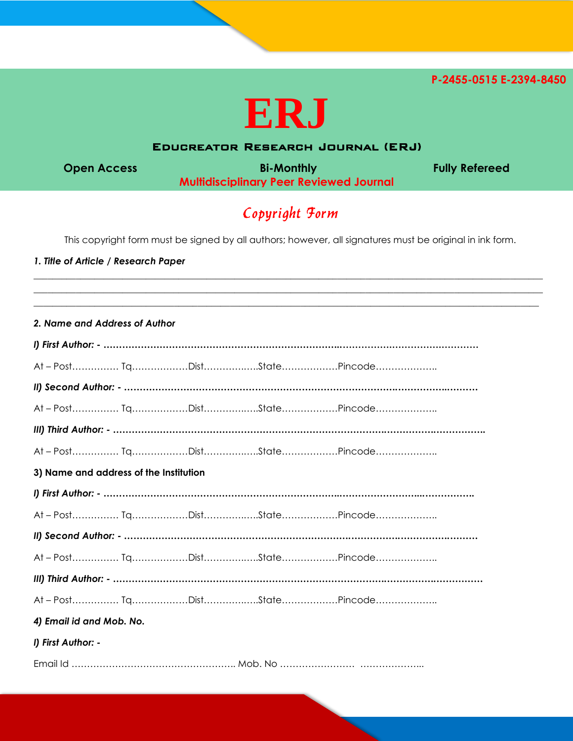**P-2455-0515 E-2394-8450** 



## Educreator Research Journal (ERJ)

**Open Access Community Bi-Monthly Community Refereed Multidisciplinary Peer Reviewed Journal**

# Copyright Form

This copyright form must be signed by all authors; however, all signatures must be original in ink form.

 $\_$  ,  $\_$  ,  $\_$  ,  $\_$  ,  $\_$  ,  $\_$  ,  $\_$  ,  $\_$  ,  $\_$  ,  $\_$  ,  $\_$  ,  $\_$  ,  $\_$  ,  $\_$  ,  $\_$  ,  $\_$  ,  $\_$  ,  $\_$  ,  $\_$  ,  $\_$  ,  $\_$  ,  $\_$  ,  $\_$  ,  $\_$  ,  $\_$  ,  $\_$  ,  $\_$  ,  $\_$  ,  $\_$  ,  $\_$  ,  $\_$  ,  $\_$  ,  $\_$  ,  $\_$  ,  $\_$  ,  $\_$  ,  $\_$  ,  $\_$  ,  $\_$  ,  $\_$  ,  $\_$  ,  $\_$  ,  $\_$  ,  $\_$  ,  $\_$  ,  $\_$  ,  $\_$  ,  $\_$  ,  $\_$  ,  $\_$  ,  $\_$  ,  $\_$  ,  $\_$  ,  $\_$  ,  $\_$  ,  $\_$  ,  $\_$  ,  $\_$  ,  $\_$  ,  $\_$  ,  $\_$  ,  $\_$  ,  $\_$  ,  $\_$  ,  $\_$  ,  $\_$  ,  $\_$  ,  $\_$  ,  $\_$  ,  $\_$  ,  $\_$  ,  $\_$  ,  $\_$  ,  $\_$  ,  $\_$  ,  $\_$  ,  $\_$  ,  $\_$  ,  $\_$  ,  $\_$  ,  $\_$  ,  $\_$  ,  $\_$  ,  $\_$  ,  $\_$  ,  $\_$  ,  $\_$  ,  $\_$  ,  $\_$  ,  $\_$  ,  $\_$  ,  $\_$  ,  $\_$  ,  $\_$  ,  $\_$  ,  $\_$  ,  $\_$  ,  $\_$  ,  $\_$  ,  $\_$  ,  $\_$  ,  $\_$  ,  $\_$  ,  $\_$  ,  $\_$  ,  $\_$  ,  $\_$  ,  $\_$  ,  $\_$  ,  $\_$  ,  $\_$  ,

#### *1. Title of Article / Research Paper*

|  |  | 2. Name and Address of Author |  |
|--|--|-------------------------------|--|
|  |  |                               |  |

| 3) Name and address of the Institution |  |  |  |  |  |  |  |  |
|----------------------------------------|--|--|--|--|--|--|--|--|
|                                        |  |  |  |  |  |  |  |  |
|                                        |  |  |  |  |  |  |  |  |
|                                        |  |  |  |  |  |  |  |  |
|                                        |  |  |  |  |  |  |  |  |
|                                        |  |  |  |  |  |  |  |  |
|                                        |  |  |  |  |  |  |  |  |
| 4) Email id and Mob. No.               |  |  |  |  |  |  |  |  |
| I) First Author: -                     |  |  |  |  |  |  |  |  |
|                                        |  |  |  |  |  |  |  |  |